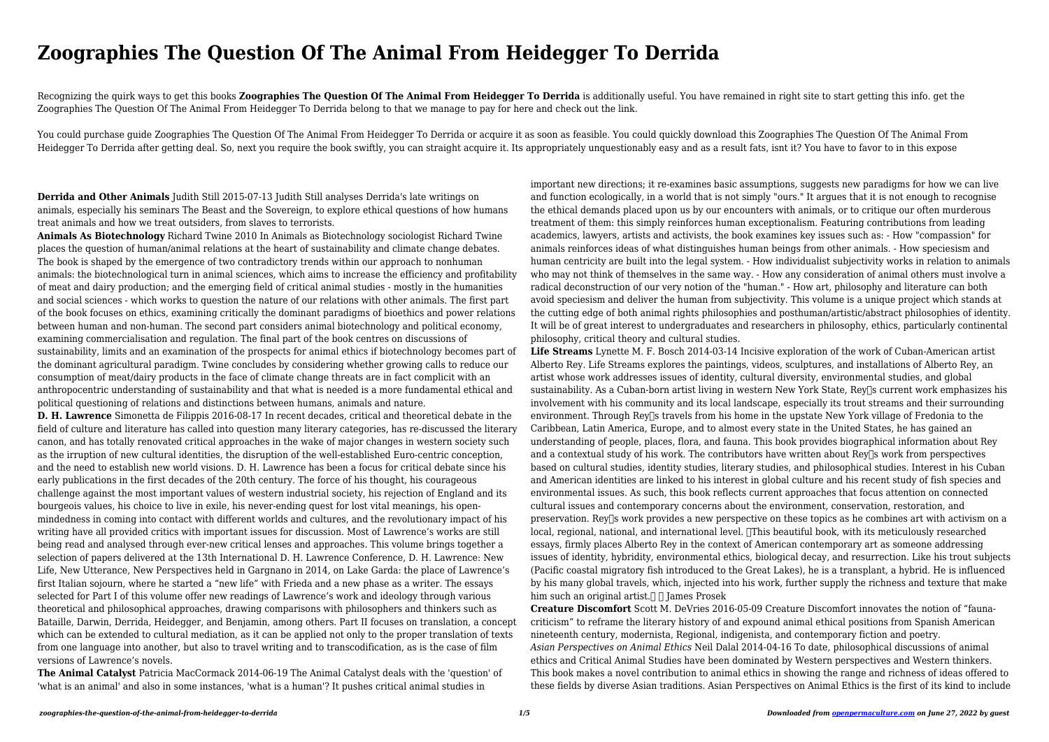## **Zoographies The Question Of The Animal From Heidegger To Derrida**

Recognizing the quirk ways to get this books **Zoographies The Question Of The Animal From Heidegger To Derrida** is additionally useful. You have remained in right site to start getting this info. get the Zoographies The Question Of The Animal From Heidegger To Derrida belong to that we manage to pay for here and check out the link.

You could purchase guide Zoographies The Question Of The Animal From Heidegger To Derrida or acquire it as soon as feasible. You could quickly download this Zoographies The Question Of The Animal From Heidegger To Derrida after getting deal. So, next you require the book swiftly, you can straight acquire it. Its appropriately unquestionably easy and as a result fats, isnt it? You have to favor to in this expose

**Derrida and Other Animals** Judith Still 2015-07-13 Judith Still analyses Derrida's late writings on animals, especially his seminars The Beast and the Sovereign, to explore ethical questions of how humans treat animals and how we treat outsiders, from slaves to terrorists.

**Animals As Biotechnology** Richard Twine 2010 In Animals as Biotechnology sociologist Richard Twine places the question of human/animal relations at the heart of sustainability and climate change debates. The book is shaped by the emergence of two contradictory trends within our approach to nonhuman animals: the biotechnological turn in animal sciences, which aims to increase the efficiency and profitability of meat and dairy production; and the emerging field of critical animal studies - mostly in the humanities and social sciences - which works to question the nature of our relations with other animals. The first part of the book focuses on ethics, examining critically the dominant paradigms of bioethics and power relations between human and non-human. The second part considers animal biotechnology and political economy, examining commercialisation and regulation. The final part of the book centres on discussions of sustainability, limits and an examination of the prospects for animal ethics if biotechnology becomes part of the dominant agricultural paradigm. Twine concludes by considering whether growing calls to reduce our consumption of meat/dairy products in the face of climate change threats are in fact complicit with an anthropocentric understanding of sustainability and that what is needed is a more fundamental ethical and political questioning of relations and distinctions between humans, animals and nature.

**Life Streams** Lynette M. F. Bosch 2014-03-14 Incisive exploration of the work of Cuban-American artist Alberto Rey. Life Streams explores the paintings, videos, sculptures, and installations of Alberto Rey, an artist whose work addresses issues of identity, cultural diversity, environmental studies, and global sustainability. As a Cuban-born artist living in western New York State, Rey<sup>n</sup>s current work emphasizes his involvement with his community and its local landscape, especially its trout streams and their surrounding environment. Through Rey<sup>n</sup>s travels from his home in the upstate New York village of Fredonia to the Caribbean, Latin America, Europe, and to almost every state in the United States, he has gained an understanding of people, places, flora, and fauna. This book provides biographical information about Rey and a contextual study of his work. The contributors have written about Rey<sup>[]</sup>s work from perspectives based on cultural studies, identity studies, literary studies, and philosophical studies. Interest in his Cuban and American identities are linked to his interest in global culture and his recent study of fish species and environmental issues. As such, this book reflects current approaches that focus attention on connected cultural issues and contemporary concerns about the environment, conservation, restoration, and preservation. Rey<sup>n</sup>s work provides a new perspective on these topics as he combines art with activism on a local, regional, national, and international level. This beautiful book, with its meticulously researched essays, firmly places Alberto Rey in the context of American contemporary art as someone addressing issues of identity, hybridity, environmental ethics, biological decay, and resurrection. Like his trout subjects (Pacific coastal migratory fish introduced to the Great Lakes), he is a transplant, a hybrid. He is influenced by his many global travels, which, injected into his work, further supply the richness and texture that make him such an original artist.  $\Box$   $\Box$  I ames Prosek

**D. H. Lawrence** Simonetta de Filippis 2016-08-17 In recent decades, critical and theoretical debate in the field of culture and literature has called into question many literary categories, has re-discussed the literary canon, and has totally renovated critical approaches in the wake of major changes in western society such as the irruption of new cultural identities, the disruption of the well-established Euro-centric conception, and the need to establish new world visions. D. H. Lawrence has been a focus for critical debate since his early publications in the first decades of the 20th century. The force of his thought, his courageous challenge against the most important values of western industrial society, his rejection of England and its bourgeois values, his choice to live in exile, his never-ending quest for lost vital meanings, his openmindedness in coming into contact with different worlds and cultures, and the revolutionary impact of his writing have all provided critics with important issues for discussion. Most of Lawrence's works are still being read and analysed through ever-new critical lenses and approaches. This volume brings together a selection of papers delivered at the 13th International D. H. Lawrence Conference, D. H. Lawrence: New Life, New Utterance, New Perspectives held in Gargnano in 2014, on Lake Garda: the place of Lawrence's first Italian sojourn, where he started a "new life" with Frieda and a new phase as a writer. The essays selected for Part I of this volume offer new readings of Lawrence's work and ideology through various theoretical and philosophical approaches, drawing comparisons with philosophers and thinkers such as Bataille, Darwin, Derrida, Heidegger, and Benjamin, among others. Part II focuses on translation, a concept which can be extended to cultural mediation, as it can be applied not only to the proper translation of texts from one language into another, but also to travel writing and to transcodification, as is the case of film versions of Lawrence's novels.

**The Animal Catalyst** Patricia MacCormack 2014-06-19 The Animal Catalyst deals with the 'question' of 'what is an animal' and also in some instances, 'what is a human'? It pushes critical animal studies in

important new directions; it re-examines basic assumptions, suggests new paradigms for how we can live and function ecologically, in a world that is not simply "ours." It argues that it is not enough to recognise the ethical demands placed upon us by our encounters with animals, or to critique our often murderous treatment of them: this simply reinforces human exceptionalism. Featuring contributions from leading academics, lawyers, artists and activists, the book examines key issues such as: - How "compassion" for animals reinforces ideas of what distinguishes human beings from other animals. - How speciesism and human centricity are built into the legal system. - How individualist subjectivity works in relation to animals who may not think of themselves in the same way. - How any consideration of animal others must involve a radical deconstruction of our very notion of the "human." - How art, philosophy and literature can both avoid speciesism and deliver the human from subjectivity. This volume is a unique project which stands at the cutting edge of both animal rights philosophies and posthuman/artistic/abstract philosophies of identity. It will be of great interest to undergraduates and researchers in philosophy, ethics, particularly continental philosophy, critical theory and cultural studies.

**Creature Discomfort** Scott M. DeVries 2016-05-09 Creature Discomfort innovates the notion of "faunacriticism" to reframe the literary history of and expound animal ethical positions from Spanish American nineteenth century, modernista, Regional, indigenista, and contemporary fiction and poetry. *Asian Perspectives on Animal Ethics* Neil Dalal 2014-04-16 To date, philosophical discussions of animal ethics and Critical Animal Studies have been dominated by Western perspectives and Western thinkers. This book makes a novel contribution to animal ethics in showing the range and richness of ideas offered to these fields by diverse Asian traditions. Asian Perspectives on Animal Ethics is the first of its kind to include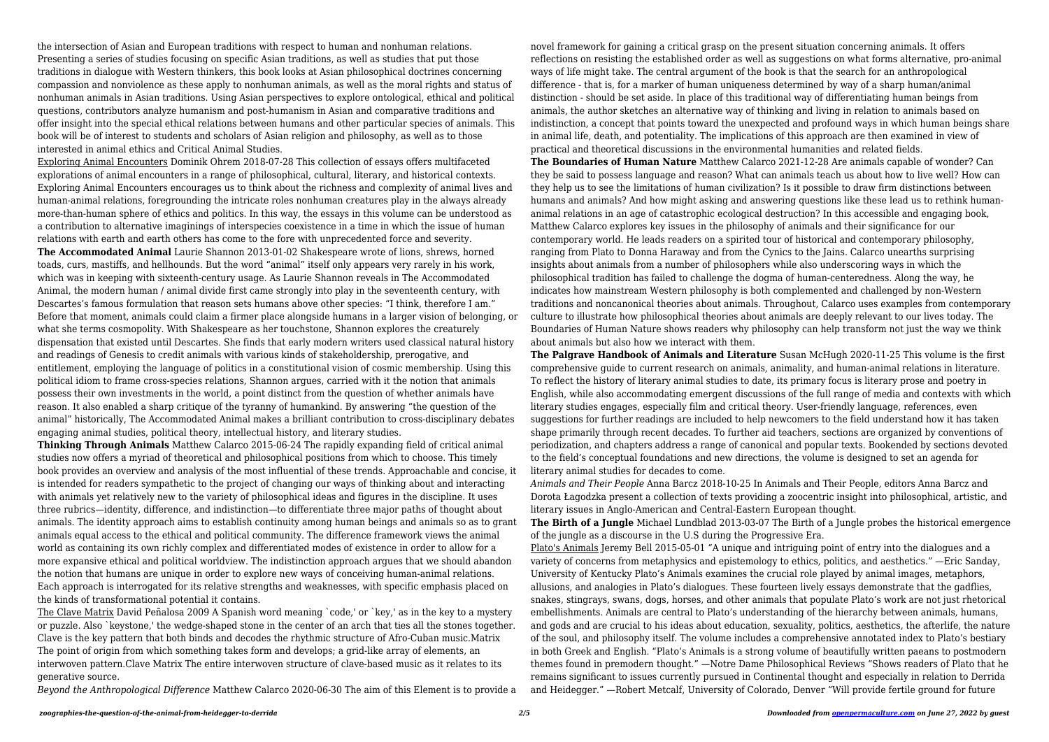the intersection of Asian and European traditions with respect to human and nonhuman relations. Presenting a series of studies focusing on specific Asian traditions, as well as studies that put those traditions in dialogue with Western thinkers, this book looks at Asian philosophical doctrines concerning compassion and nonviolence as these apply to nonhuman animals, as well as the moral rights and status of nonhuman animals in Asian traditions. Using Asian perspectives to explore ontological, ethical and political questions, contributors analyze humanism and post-humanism in Asian and comparative traditions and offer insight into the special ethical relations between humans and other particular species of animals. This book will be of interest to students and scholars of Asian religion and philosophy, as well as to those interested in animal ethics and Critical Animal Studies.

Exploring Animal Encounters Dominik Ohrem 2018-07-28 This collection of essays offers multifaceted explorations of animal encounters in a range of philosophical, cultural, literary, and historical contexts. Exploring Animal Encounters encourages us to think about the richness and complexity of animal lives and human-animal relations, foregrounding the intricate roles nonhuman creatures play in the always already more-than-human sphere of ethics and politics. In this way, the essays in this volume can be understood as a contribution to alternative imaginings of interspecies coexistence in a time in which the issue of human relations with earth and earth others has come to the fore with unprecedented force and severity.

**The Accommodated Animal** Laurie Shannon 2013-01-02 Shakespeare wrote of lions, shrews, horned toads, curs, mastiffs, and hellhounds. But the word "animal" itself only appears very rarely in his work, which was in keeping with sixteenth-century usage. As Laurie Shannon reveals in The Accommodated Animal, the modern human / animal divide first came strongly into play in the seventeenth century, with Descartes's famous formulation that reason sets humans above other species: "I think, therefore I am." Before that moment, animals could claim a firmer place alongside humans in a larger vision of belonging, or what she terms cosmopolity. With Shakespeare as her touchstone, Shannon explores the creaturely dispensation that existed until Descartes. She finds that early modern writers used classical natural history and readings of Genesis to credit animals with various kinds of stakeholdership, prerogative, and entitlement, employing the language of politics in a constitutional vision of cosmic membership. Using this political idiom to frame cross-species relations, Shannon argues, carried with it the notion that animals possess their own investments in the world, a point distinct from the question of whether animals have reason. It also enabled a sharp critique of the tyranny of humankind. By answering "the question of the animal" historically, The Accommodated Animal makes a brilliant contribution to cross-disciplinary debates engaging animal studies, political theory, intellectual history, and literary studies.

**Thinking Through Animals** Matthew Calarco 2015-06-24 The rapidly expanding field of critical animal studies now offers a myriad of theoretical and philosophical positions from which to choose. This timely book provides an overview and analysis of the most influential of these trends. Approachable and concise, it is intended for readers sympathetic to the project of changing our ways of thinking about and interacting with animals yet relatively new to the variety of philosophical ideas and figures in the discipline. It uses three rubrics—identity, difference, and indistinction—to differentiate three major paths of thought about animals. The identity approach aims to establish continuity among human beings and animals so as to grant animals equal access to the ethical and political community. The difference framework views the animal world as containing its own richly complex and differentiated modes of existence in order to allow for a more expansive ethical and political worldview. The indistinction approach argues that we should abandon the notion that humans are unique in order to explore new ways of conceiving human-animal relations. Each approach is interrogated for its relative strengths and weaknesses, with specific emphasis placed on the kinds of transformational potential it contains.

The Clave Matrix David Peñalosa 2009 A Spanish word meaning `code,' or `key,' as in the key to a mystery or puzzle. Also `keystone,' the wedge-shaped stone in the center of an arch that ties all the stones together. Clave is the key pattern that both binds and decodes the rhythmic structure of Afro-Cuban music.Matrix The point of origin from which something takes form and develops; a grid-like array of elements, an interwoven pattern.Clave Matrix The entire interwoven structure of clave-based music as it relates to its generative source.

*Beyond the Anthropological Difference* Matthew Calarco 2020-06-30 The aim of this Element is to provide a

novel framework for gaining a critical grasp on the present situation concerning animals. It offers reflections on resisting the established order as well as suggestions on what forms alternative, pro-animal ways of life might take. The central argument of the book is that the search for an anthropological difference - that is, for a marker of human uniqueness determined by way of a sharp human/animal distinction - should be set aside. In place of this traditional way of differentiating human beings from animals, the author sketches an alternative way of thinking and living in relation to animals based on indistinction, a concept that points toward the unexpected and profound ways in which human beings share in animal life, death, and potentiality. The implications of this approach are then examined in view of practical and theoretical discussions in the environmental humanities and related fields. **The Boundaries of Human Nature** Matthew Calarco 2021-12-28 Are animals capable of wonder? Can they be said to possess language and reason? What can animals teach us about how to live well? How can they help us to see the limitations of human civilization? Is it possible to draw firm distinctions between humans and animals? And how might asking and answering questions like these lead us to rethink humananimal relations in an age of catastrophic ecological destruction? In this accessible and engaging book, Matthew Calarco explores key issues in the philosophy of animals and their significance for our contemporary world. He leads readers on a spirited tour of historical and contemporary philosophy, ranging from Plato to Donna Haraway and from the Cynics to the Jains. Calarco unearths surprising insights about animals from a number of philosophers while also underscoring ways in which the philosophical tradition has failed to challenge the dogma of human-centeredness. Along the way, he indicates how mainstream Western philosophy is both complemented and challenged by non-Western traditions and noncanonical theories about animals. Throughout, Calarco uses examples from contemporary culture to illustrate how philosophical theories about animals are deeply relevant to our lives today. The Boundaries of Human Nature shows readers why philosophy can help transform not just the way we think about animals but also how we interact with them.

**The Palgrave Handbook of Animals and Literature** Susan McHugh 2020-11-25 This volume is the first comprehensive guide to current research on animals, animality, and human-animal relations in literature. To reflect the history of literary animal studies to date, its primary focus is literary prose and poetry in English, while also accommodating emergent discussions of the full range of media and contexts with which literary studies engages, especially film and critical theory. User-friendly language, references, even suggestions for further readings are included to help newcomers to the field understand how it has taken shape primarily through recent decades. To further aid teachers, sections are organized by conventions of periodization, and chapters address a range of canonical and popular texts. Bookended by sections devoted to the field's conceptual foundations and new directions, the volume is designed to set an agenda for literary animal studies for decades to come.

*Animals and Their People* Anna Barcz 2018-10-25 In Animals and Their People, editors Anna Barcz and Dorota Łagodzka present a collection of texts providing a zoocentric insight into philosophical, artistic, and literary issues in Anglo-American and Central-Eastern European thought. **The Birth of a Jungle** Michael Lundblad 2013-03-07 The Birth of a Jungle probes the historical emergence of the jungle as a discourse in the U.S during the Progressive Era. Plato's Animals Jeremy Bell 2015-05-01 "A unique and intriguing point of entry into the dialogues and a variety of concerns from metaphysics and epistemology to ethics, politics, and aesthetics." —Eric Sanday, University of Kentucky Plato's Animals examines the crucial role played by animal images, metaphors, allusions, and analogies in Plato's dialogues. These fourteen lively essays demonstrate that the gadflies, snakes, stingrays, swans, dogs, horses, and other animals that populate Plato's work are not just rhetorical embellishments. Animals are central to Plato's understanding of the hierarchy between animals, humans, and gods and are crucial to his ideas about education, sexuality, politics, aesthetics, the afterlife, the nature of the soul, and philosophy itself. The volume includes a comprehensive annotated index to Plato's bestiary in both Greek and English. "Plato's Animals is a strong volume of beautifully written paeans to postmodern themes found in premodern thought." —Notre Dame Philosophical Reviews "Shows readers of Plato that he remains significant to issues currently pursued in Continental thought and especially in relation to Derrida and Heidegger." —Robert Metcalf, University of Colorado, Denver "Will provide fertile ground for future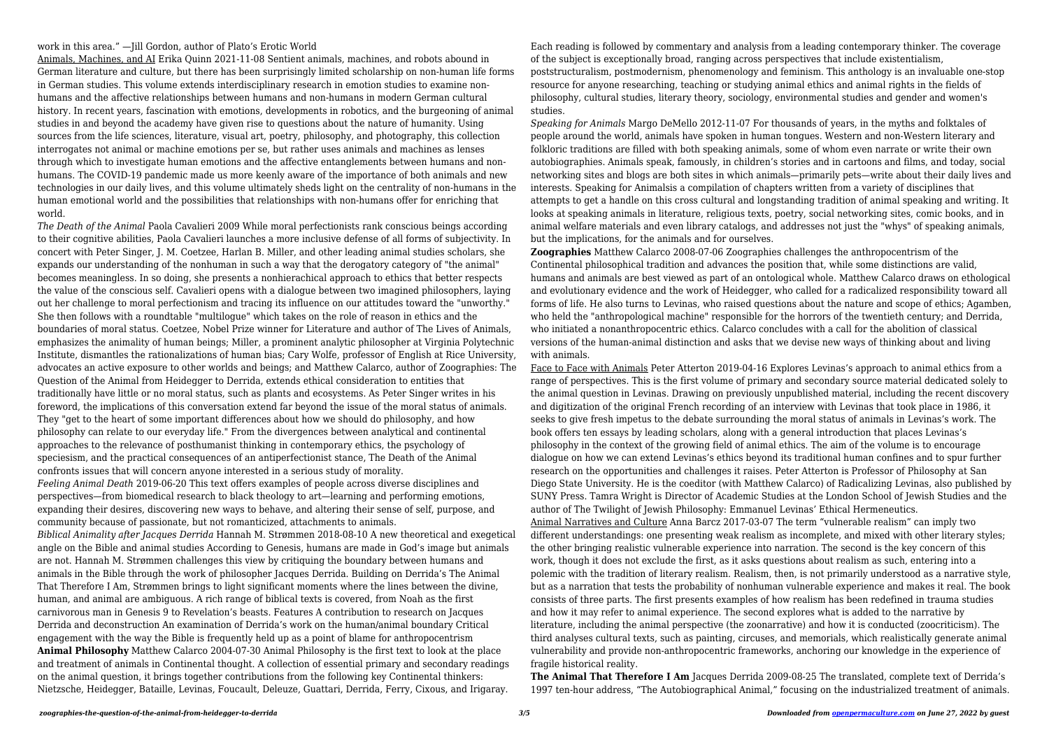## work in this area." — Jill Gordon, author of Plato's Erotic World

Animals, Machines, and AI Erika Quinn 2021-11-08 Sentient animals, machines, and robots abound in German literature and culture, but there has been surprisingly limited scholarship on non-human life forms in German studies. This volume extends interdisciplinary research in emotion studies to examine nonhumans and the affective relationships between humans and non-humans in modern German cultural history. In recent years, fascination with emotions, developments in robotics, and the burgeoning of animal studies in and beyond the academy have given rise to questions about the nature of humanity. Using sources from the life sciences, literature, visual art, poetry, philosophy, and photography, this collection interrogates not animal or machine emotions per se, but rather uses animals and machines as lenses through which to investigate human emotions and the affective entanglements between humans and nonhumans. The COVID-19 pandemic made us more keenly aware of the importance of both animals and new technologies in our daily lives, and this volume ultimately sheds light on the centrality of non-humans in the human emotional world and the possibilities that relationships with non-humans offer for enriching that world.

*The Death of the Animal* Paola Cavalieri 2009 While moral perfectionists rank conscious beings according to their cognitive abilities, Paola Cavalieri launches a more inclusive defense of all forms of subjectivity. In concert with Peter Singer, J. M. Coetzee, Harlan B. Miller, and other leading animal studies scholars, she expands our understanding of the nonhuman in such a way that the derogatory category of "the animal" becomes meaningless. In so doing, she presents a nonhierachical approach to ethics that better respects the value of the conscious self. Cavalieri opens with a dialogue between two imagined philosophers, laying out her challenge to moral perfectionism and tracing its influence on our attitudes toward the "unworthy." She then follows with a roundtable "multilogue" which takes on the role of reason in ethics and the boundaries of moral status. Coetzee, Nobel Prize winner for Literature and author of The Lives of Animals, emphasizes the animality of human beings; Miller, a prominent analytic philosopher at Virginia Polytechnic Institute, dismantles the rationalizations of human bias; Cary Wolfe, professor of English at Rice University, advocates an active exposure to other worlds and beings; and Matthew Calarco, author of Zoographies: The Question of the Animal from Heidegger to Derrida, extends ethical consideration to entities that traditionally have little or no moral status, such as plants and ecosystems. As Peter Singer writes in his foreword, the implications of this conversation extend far beyond the issue of the moral status of animals. They "get to the heart of some important differences about how we should do philosophy, and how philosophy can relate to our everyday life." From the divergences between analytical and continental approaches to the relevance of posthumanist thinking in contemporary ethics, the psychology of speciesism, and the practical consequences of an antiperfectionist stance, The Death of the Animal confronts issues that will concern anyone interested in a serious study of morality.

*Feeling Animal Death* 2019-06-20 This text offers examples of people across diverse disciplines and perspectives—from biomedical research to black theology to art—learning and performing emotions, expanding their desires, discovering new ways to behave, and altering their sense of self, purpose, and community because of passionate, but not romanticized, attachments to animals.

*Biblical Animality after Jacques Derrida* Hannah M. Strømmen 2018-08-10 A new theoretical and exegetical angle on the Bible and animal studies According to Genesis, humans are made in God's image but animals are not. Hannah M. Strømmen challenges this view by critiquing the boundary between humans and animals in the Bible through the work of philosopher Jacques Derrida. Building on Derrida's The Animal That Therefore I Am, Strømmen brings to light significant moments where the lines between the divine, human, and animal are ambiguous. A rich range of biblical texts is covered, from Noah as the first carnivorous man in Genesis 9 to Revelation's beasts. Features A contribution to research on Jacques Derrida and deconstruction An examination of Derrida's work on the human/animal boundary Critical engagement with the way the Bible is frequently held up as a point of blame for anthropocentrism **Animal Philosophy** Matthew Calarco 2004-07-30 Animal Philosophy is the first text to look at the place and treatment of animals in Continental thought. A collection of essential primary and secondary readings on the animal question, it brings together contributions from the following key Continental thinkers: Nietzsche, Heidegger, Bataille, Levinas, Foucault, Deleuze, Guattari, Derrida, Ferry, Cixous, and Irigaray.

Each reading is followed by commentary and analysis from a leading contemporary thinker. The coverage of the subject is exceptionally broad, ranging across perspectives that include existentialism, poststructuralism, postmodernism, phenomenology and feminism. This anthology is an invaluable one-stop resource for anyone researching, teaching or studying animal ethics and animal rights in the fields of philosophy, cultural studies, literary theory, sociology, environmental studies and gender and women's studies.

*Speaking for Animals* Margo DeMello 2012-11-07 For thousands of years, in the myths and folktales of people around the world, animals have spoken in human tongues. Western and non-Western literary and folkloric traditions are filled with both speaking animals, some of whom even narrate or write their own autobiographies. Animals speak, famously, in children's stories and in cartoons and films, and today, social networking sites and blogs are both sites in which animals—primarily pets—write about their daily lives and interests. Speaking for Animalsis a compilation of chapters written from a variety of disciplines that attempts to get a handle on this cross cultural and longstanding tradition of animal speaking and writing. It looks at speaking animals in literature, religious texts, poetry, social networking sites, comic books, and in animal welfare materials and even library catalogs, and addresses not just the "whys" of speaking animals, but the implications, for the animals and for ourselves.

**Zoographies** Matthew Calarco 2008-07-06 Zoographies challenges the anthropocentrism of the Continental philosophical tradition and advances the position that, while some distinctions are valid, humans and animals are best viewed as part of an ontological whole. Matthew Calarco draws on ethological and evolutionary evidence and the work of Heidegger, who called for a radicalized responsibility toward all forms of life. He also turns to Levinas, who raised questions about the nature and scope of ethics; Agamben, who held the "anthropological machine" responsible for the horrors of the twentieth century; and Derrida, who initiated a nonanthropocentric ethics. Calarco concludes with a call for the abolition of classical versions of the human-animal distinction and asks that we devise new ways of thinking about and living with animals.

Face to Face with Animals Peter Atterton 2019-04-16 Explores Levinas's approach to animal ethics from a range of perspectives. This is the first volume of primary and secondary source material dedicated solely to the animal question in Levinas. Drawing on previously unpublished material, including the recent discovery and digitization of the original French recording of an interview with Levinas that took place in 1986, it seeks to give fresh impetus to the debate surrounding the moral status of animals in Levinas's work. The book offers ten essays by leading scholars, along with a general introduction that places Levinas's philosophy in the context of the growing field of animal ethics. The aim of the volume is to encourage dialogue on how we can extend Levinas's ethics beyond its traditional human confines and to spur further research on the opportunities and challenges it raises. Peter Atterton is Professor of Philosophy at San Diego State University. He is the coeditor (with Matthew Calarco) of Radicalizing Levinas, also published by SUNY Press. Tamra Wright is Director of Academic Studies at the London School of Jewish Studies and the author of The Twilight of Jewish Philosophy: Emmanuel Levinas' Ethical Hermeneutics. Animal Narratives and Culture Anna Barcz 2017-03-07 The term "vulnerable realism" can imply two different understandings: one presenting weak realism as incomplete, and mixed with other literary styles; the other bringing realistic vulnerable experience into narration. The second is the key concern of this work, though it does not exclude the first, as it asks questions about realism as such, entering into a polemic with the tradition of literary realism. Realism, then, is not primarily understood as a narrative style, but as a narration that tests the probability of nonhuman vulnerable experience and makes it real. The book consists of three parts. The first presents examples of how realism has been redefined in trauma studies and how it may refer to animal experience. The second explores what is added to the narrative by literature, including the animal perspective (the zoonarrative) and how it is conducted (zoocriticism). The third analyses cultural texts, such as painting, circuses, and memorials, which realistically generate animal vulnerability and provide non-anthropocentric frameworks, anchoring our knowledge in the experience of fragile historical reality.

**The Animal That Therefore I Am** Jacques Derrida 2009-08-25 The translated, complete text of Derrida's 1997 ten-hour address, "The Autobiographical Animal," focusing on the industrialized treatment of animals.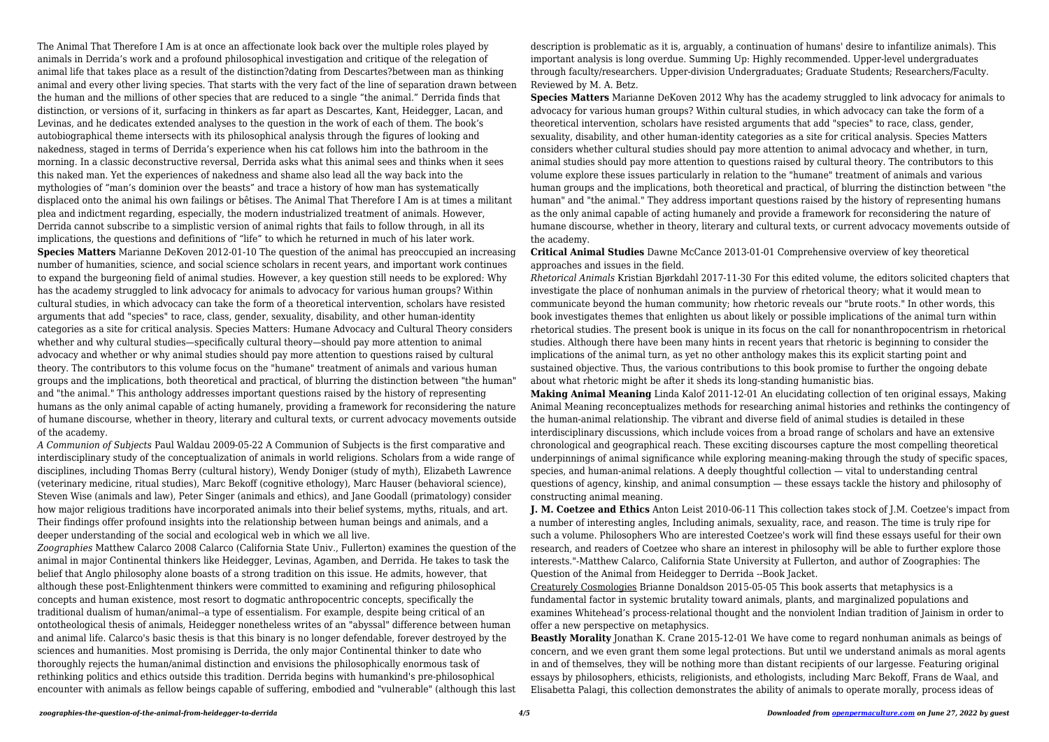The Animal That Therefore I Am is at once an affectionate look back over the multiple roles played by animals in Derrida's work and a profound philosophical investigation and critique of the relegation of animal life that takes place as a result of the distinction?dating from Descartes?between man as thinking animal and every other living species. That starts with the very fact of the line of separation drawn between the human and the millions of other species that are reduced to a single "the animal." Derrida finds that distinction, or versions of it, surfacing in thinkers as far apart as Descartes, Kant, Heidegger, Lacan, and Levinas, and he dedicates extended analyses to the question in the work of each of them. The book's autobiographical theme intersects with its philosophical analysis through the figures of looking and nakedness, staged in terms of Derrida's experience when his cat follows him into the bathroom in the morning. In a classic deconstructive reversal, Derrida asks what this animal sees and thinks when it sees this naked man. Yet the experiences of nakedness and shame also lead all the way back into the mythologies of "man's dominion over the beasts" and trace a history of how man has systematically displaced onto the animal his own failings or bêtises. The Animal That Therefore I Am is at times a militant plea and indictment regarding, especially, the modern industrialized treatment of animals. However, Derrida cannot subscribe to a simplistic version of animal rights that fails to follow through, in all its implications, the questions and definitions of "life" to which he returned in much of his later work. **Species Matters** Marianne DeKoven 2012-01-10 The question of the animal has preoccupied an increasing number of humanities, science, and social science scholars in recent years, and important work continues to expand the burgeoning field of animal studies. However, a key question still needs to be explored: Why has the academy struggled to link advocacy for animals to advocacy for various human groups? Within cultural studies, in which advocacy can take the form of a theoretical intervention, scholars have resisted arguments that add "species" to race, class, gender, sexuality, disability, and other human-identity categories as a site for critical analysis. Species Matters: Humane Advocacy and Cultural Theory considers whether and why cultural studies—specifically cultural theory—should pay more attention to animal advocacy and whether or why animal studies should pay more attention to questions raised by cultural theory. The contributors to this volume focus on the "humane" treatment of animals and various human groups and the implications, both theoretical and practical, of blurring the distinction between "the human" and "the animal." This anthology addresses important questions raised by the history of representing humans as the only animal capable of acting humanely, providing a framework for reconsidering the nature of humane discourse, whether in theory, literary and cultural texts, or current advocacy movements outside of the academy.

**Species Matters** Marianne DeKoven 2012 Why has the academy struggled to link advocacy for animals to advocacy for various human groups? Within cultural studies, in which advocacy can take the form of a theoretical intervention, scholars have resisted arguments that add "species" to race, class, gender, sexuality, disability, and other human-identity categories as a site for critical analysis. Species Matters considers whether cultural studies should pay more attention to animal advocacy and whether, in turn, animal studies should pay more attention to questions raised by cultural theory. The contributors to this volume explore these issues particularly in relation to the "humane" treatment of animals and various human groups and the implications, both theoretical and practical, of blurring the distinction between "the human" and "the animal." They address important questions raised by the history of representing humans as the only animal capable of acting humanely and provide a framework for reconsidering the nature of humane discourse, whether in theory, literary and cultural texts, or current advocacy movements outside of the academy.

*A Communion of Subjects* Paul Waldau 2009-05-22 A Communion of Subjects is the first comparative and interdisciplinary study of the conceptualization of animals in world religions. Scholars from a wide range of disciplines, including Thomas Berry (cultural history), Wendy Doniger (study of myth), Elizabeth Lawrence (veterinary medicine, ritual studies), Marc Bekoff (cognitive ethology), Marc Hauser (behavioral science), Steven Wise (animals and law), Peter Singer (animals and ethics), and Jane Goodall (primatology) consider how major religious traditions have incorporated animals into their belief systems, myths, rituals, and art. Their findings offer profound insights into the relationship between human beings and animals, and a deeper understanding of the social and ecological web in which we all live.

*Zoographies* Matthew Calarco 2008 Calarco (California State Univ., Fullerton) examines the question of the animal in major Continental thinkers like Heidegger, Levinas, Agamben, and Derrida. He takes to task the belief that Anglo philosophy alone boasts of a strong tradition on this issue. He admits, however, that although these post-Enlightenment thinkers were committed to examining and refiguring philosophical concepts and human existence, most resort to dogmatic anthropocentric concepts, specifically the traditional dualism of human/animal--a type of essentialism. For example, despite being critical of an ontotheological thesis of animals, Heidegger nonetheless writes of an "abyssal" difference between human and animal life. Calarco's basic thesis is that this binary is no longer defendable, forever destroyed by the sciences and humanities. Most promising is Derrida, the only major Continental thinker to date who thoroughly rejects the human/animal distinction and envisions the philosophically enormous task of rethinking politics and ethics outside this tradition. Derrida begins with humankind's pre-philosophical encounter with animals as fellow beings capable of suffering, embodied and "vulnerable" (although this last description is problematic as it is, arguably, a continuation of humans' desire to infantilize animals). This important analysis is long overdue. Summing Up: Highly recommended. Upper-level undergraduates through faculty/researchers. Upper-division Undergraduates; Graduate Students; Researchers/Faculty. Reviewed by M. A. Betz.

**Critical Animal Studies** Dawne McCance 2013-01-01 Comprehensive overview of key theoretical approaches and issues in the field.

*Rhetorical Animals* Kristian Bjørkdahl 2017-11-30 For this edited volume, the editors solicited chapters that investigate the place of nonhuman animals in the purview of rhetorical theory; what it would mean to communicate beyond the human community; how rhetoric reveals our "brute roots." In other words, this book investigates themes that enlighten us about likely or possible implications of the animal turn within rhetorical studies. The present book is unique in its focus on the call for nonanthropocentrism in rhetorical studies. Although there have been many hints in recent years that rhetoric is beginning to consider the implications of the animal turn, as yet no other anthology makes this its explicit starting point and sustained objective. Thus, the various contributions to this book promise to further the ongoing debate about what rhetoric might be after it sheds its long-standing humanistic bias.

**Making Animal Meaning** Linda Kalof 2011-12-01 An elucidating collection of ten original essays, Making Animal Meaning reconceptualizes methods for researching animal histories and rethinks the contingency of the human-animal relationship. The vibrant and diverse field of animal studies is detailed in these interdisciplinary discussions, which include voices from a broad range of scholars and have an extensive chronological and geographical reach. These exciting discourses capture the most compelling theoretical underpinnings of animal significance while exploring meaning-making through the study of specific spaces, species, and human-animal relations. A deeply thoughtful collection — vital to understanding central questions of agency, kinship, and animal consumption — these essays tackle the history and philosophy of constructing animal meaning.

**J. M. Coetzee and Ethics** Anton Leist 2010-06-11 This collection takes stock of J.M. Coetzee's impact from a number of interesting angles, Including animals, sexuality, race, and reason. The time is truly ripe for such a volume. Philosophers Who are interested Coetzee's work will find these essays useful for their own research, and readers of Coetzee who share an interest in philosophy will be able to further explore those interests."-Matthew Calarco, California State University at Fullerton, and author of Zoographies: The Question of the Animal from Heidegger to Derrida --Book Jacket. Creaturely Cosmologies Brianne Donaldson 2015-05-05 This book asserts that metaphysics is a fundamental factor in systemic brutality toward animals, plants, and marginalized populations and examines Whitehead's process-relational thought and the nonviolent Indian tradition of Jainism in order to offer a new perspective on metaphysics.

**Beastly Morality** Jonathan K. Crane 2015-12-01 We have come to regard nonhuman animals as beings of concern, and we even grant them some legal protections. But until we understand animals as moral agents in and of themselves, they will be nothing more than distant recipients of our largesse. Featuring original essays by philosophers, ethicists, religionists, and ethologists, including Marc Bekoff, Frans de Waal, and Elisabetta Palagi, this collection demonstrates the ability of animals to operate morally, process ideas of